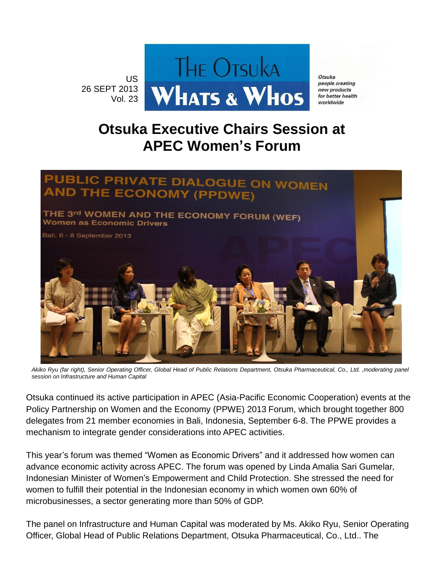

Otsuka people creating new products for better health worldwide

## **Otsuka Executive Chairs Session at APEC Women's Forum**



*Akiko Ryu (far right), Senior Operating Officer, Global Head of Public Relations Department, Otsuka Pharmaceutical, Co., Ltd. ,moderating panel session on Infrastructure and Human Capital*

Otsuka continued its active participation in APEC (Asia-Pacific Economic Cooperation) events at the Policy Partnership on Women and the Economy (PPWE) 2013 Forum, which brought together 800 delegates from 21 member economies in Bali, Indonesia, September 6-8. The PPWE provides a mechanism to integrate gender considerations into APEC activities.

This year's forum was themed "Women as Economic Drivers" and it addressed how women can advance economic activity across APEC. The forum was opened by Linda Amalia Sari Gumelar, Indonesian Minister of Women's Empowerment and Child Protection. She stressed the need for women to fulfill their potential in the Indonesian economy in which women own 60% of microbusinesses, a sector generating more than 50% of GDP.

The panel on Infrastructure and Human Capital was moderated by Ms. Akiko Ryu, Senior Operating Officer, Global Head of Public Relations Department, Otsuka Pharmaceutical, Co., Ltd.. The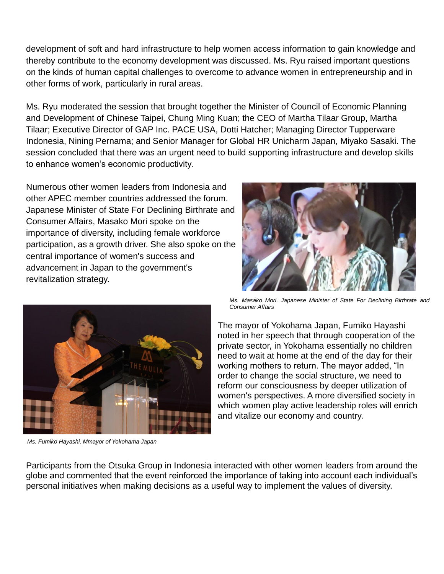development of soft and hard infrastructure to help women access information to gain knowledge and thereby contribute to the economy development was discussed. Ms. Ryu raised important questions on the kinds of human capital challenges to overcome to advance women in entrepreneurship and in other forms of work, particularly in rural areas.

Ms. Ryu moderated the session that brought together the Minister of Council of Economic Planning and Development of Chinese Taipei, Chung Ming Kuan; the CEO of Martha Tilaar Group, Martha Tilaar; Executive Director of GAP Inc. PACE USA, Dotti Hatcher; Managing Director Tupperware Indonesia, Nining Pernama; and Senior Manager for Global HR Unicharm Japan, Miyako Sasaki. The session concluded that there was an urgent need to build supporting infrastructure and develop skills to enhance women's economic productivity.

Numerous other women leaders from Indonesia and other APEC member countries addressed the forum. Japanese Minister of State For Declining Birthrate and Consumer Affairs, Masako Mori spoke on the importance of diversity, including female workforce participation, as a growth driver. She also spoke on the central importance of women's success and advancement in Japan to the government's revitalization strategy.



*Ms. Fumiko Hayashi, Mmayor of Yokohama Japan*



*Ms. Masako Mori, Japanese Minister of State For Declining Birthrate and Consumer Affairs*

The mayor of Yokohama Japan, Fumiko Hayashi noted in her speech that through cooperation of the private sector, in Yokohama essentially no children need to wait at home at the end of the day for their working mothers to return. The mayor added, "In order to change the social structure, we need to reform our consciousness by deeper utilization of women's perspectives. A more diversified society in which women play active leadership roles will enrich and vitalize our economy and country.

Participants from the Otsuka Group in Indonesia interacted with other women leaders from around the globe and commented that the event reinforced the importance of taking into account each individual's personal initiatives when making decisions as a useful way to implement the values of diversity.